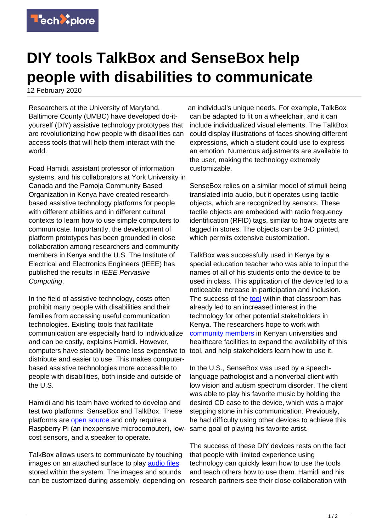

## **DIY tools TalkBox and SenseBox help people with disabilities to communicate**

12 February 2020

Researchers at the University of Maryland, Baltimore County (UMBC) have developed do-ityourself (DIY) assistive technology prototypes that are revolutionizing how people with disabilities can access tools that will help them interact with the world.

Foad Hamidi, assistant professor of information systems, and his collaborators at York University in Canada and the Pamoja Community Based Organization in Kenya have created researchbased assistive technology platforms for people with different abilities and in different cultural contexts to learn how to use simple computers to communicate. Importantly, the development of platform prototypes has been grounded in close collaboration among researchers and community members in Kenya and the U.S. The Institute of Electrical and Electronics Engineers (IEEE) has published the results in IEEE Pervasive Computing.

In the field of assistive technology, costs often prohibit many people with disabilities and their families from accessing useful communication technologies. Existing tools that facilitate communication are especially hard to individualize and can be costly, explains Hamidi. However, computers have steadily become less expensive to distribute and easier to use. This makes computerbased assistive technologies more accessible to people with disabilities, both inside and outside of the U.S.

Hamidi and his team have worked to develop and test two platforms: SenseBox and TalkBox. These platforms are [open source](https://techxplore.com/tags/open+source/) and only require a Raspberry Pi (an inexpensive microcomputer), lowcost sensors, and a speaker to operate.

TalkBox allows users to communicate by touching images on an attached surface to play [audio files](https://techxplore.com/tags/audio+files/) stored within the system. The images and sounds can be customized during assembly, depending on

an individual's unique needs. For example, TalkBox can be adapted to fit on a wheelchair, and it can include individualized visual elements. The TalkBox could display illustrations of faces showing different expressions, which a student could use to express an emotion. Numerous adjustments are available to the user, making the technology extremely customizable.

SenseBox relies on a similar model of stimuli being translated into audio, but it operates using tactile objects, which are recognized by sensors. These tactile objects are embedded with radio frequency identification (RFID) tags, similar to how objects are tagged in stores. The objects can be 3-D printed, which permits extensive customization.

TalkBox was successfully used in Kenya by a special education teacher who was able to input the names of all of his students onto the device to be used in class. This application of the device led to a noticeable increase in participation and inclusion. The success of the [tool](https://techxplore.com/tags/tool/) within that classroom has already led to an increased interest in the technology for other potential stakeholders in Kenya. The researchers hope to work with [community members](https://techxplore.com/tags/community+members/) in Kenyan universities and healthcare facilities to expand the availability of this tool, and help stakeholders learn how to use it.

In the U.S., SenseBox was used by a speechlanguage pathologist and a nonverbal client with low vision and autism spectrum disorder. The client was able to play his favorite music by holding the desired CD case to the device, which was a major stepping stone in his communication. Previously, he had difficulty using other devices to achieve this same goal of playing his favorite artist.

The success of these DIY devices rests on the fact that people with limited experience using technology can quickly learn how to use the tools and teach others how to use them. Hamidi and his research partners see their close collaboration with